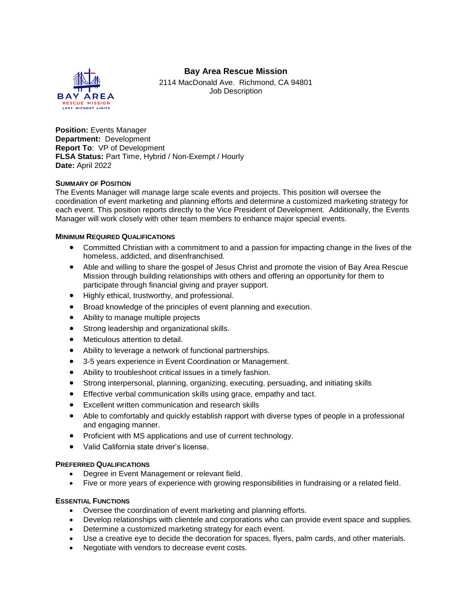# **Bay Area Rescue Mission**



2114 MacDonald Ave. Richmond, CA 94801 Job Description

**Position: Events Manager Department:** Development **Report To**: VP of Development **FLSA Status:** Part Time, Hybrid / Non-Exempt / Hourly **Date:** April 2022

## **SUMMARY OF POSITION**

The Events Manager will manage large scale events and projects. This position will oversee the coordination of event marketing and planning efforts and determine a customized marketing strategy for each event. This position reports directly to the Vice President of Development. Additionally, the Events Manager will work closely with other team members to enhance major special events.

## **MINIMUM REQUIRED QUALIFICATIONS**

- Committed Christian with a commitment to and a passion for impacting change in the lives of the homeless, addicted, and disenfranchised.
- Able and willing to share the gospel of Jesus Christ and promote the vision of Bay Area Rescue Mission through building relationships with others and offering an opportunity for them to participate through financial giving and prayer support.
- Highly ethical, trustworthy, and professional.
- Broad knowledge of the principles of event planning and execution.
- Ability to manage multiple projects
- Strong leadership and organizational skills.
- Meticulous attention to detail.
- Ability to leverage a network of functional partnerships.
- 3-5 years experience in Event Coordination or Management.
- Ability to troubleshoot critical issues in a timely fashion.
- Strong interpersonal, planning, organizing, executing, persuading, and initiating skills
- **Effective verbal communication skills using grace, empathy and tact.**
- Excellent written communication and research skills
- Able to comfortably and quickly establish rapport with diverse types of people in a professional and engaging manner.
- Proficient with MS applications and use of current technology.
- Valid California state driver's license.

### **PREFERRED QUALIFICATIONS**

- Degree in Event Management or relevant field.
- Five or more years of experience with growing responsibilities in fundraising or a related field.

### **ESSENTIAL FUNCTIONS**

- Oversee the coordination of event marketing and planning efforts.
- Develop relationships with clientele and corporations who can provide event space and supplies.
- Determine a customized marketing strategy for each event.
- Use a creative eye to decide the decoration for spaces, flyers, palm cards, and other materials.
- Negotiate with vendors to decrease event costs.